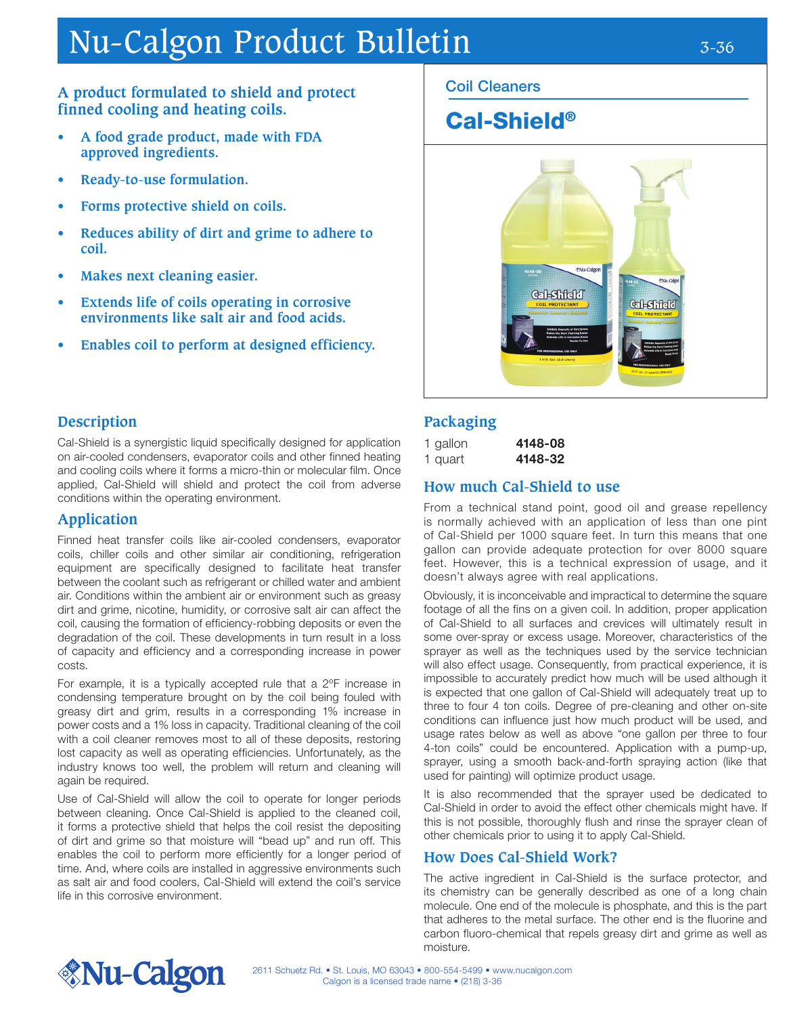# Nu-Calgon Product Bulletin 3-36

### **A product formulated to shield and protect finned cooling and heating coils.**

- **• A food grade product, made with FDA approved ingredients.**
- **• Ready-to-use formulation.**
- **• Forms protective shield on coils.**
- **• Reduces ability of dirt and grime to adhere to coil.**
- **• Makes next cleaning easier.**
- **• Extends life of coils operating in corrosive environments like salt air and food acids.**
- **• Enables coil to perform at designed efficiency.**

### Coil Cleaners

## Cal-Shield®



#### **Description**

Cal-Shield is a synergistic liquid specifically designed for application on air-cooled condensers, evaporator coils and other finned heating and cooling coils where it forms a micro-thin or molecular film. Once applied, Cal-Shield will shield and protect the coil from adverse conditions within the operating environment.

#### **Application**

Finned heat transfer coils like air-cooled condensers, evaporator coils, chiller coils and other similar air conditioning, refrigeration equipment are specifically designed to facilitate heat transfer between the coolant such as refrigerant or chilled water and ambient air. Conditions within the ambient air or environment such as greasy dirt and grime, nicotine, humidity, or corrosive salt air can affect the coil, causing the formation of efficiency-robbing deposits or even the degradation of the coil. These developments in turn result in a loss of capacity and efficiency and a corresponding increase in power costs.

For example, it is a typically accepted rule that a 2ºF increase in condensing temperature brought on by the coil being fouled with greasy dirt and grim, results in a corresponding 1% increase in power costs and a 1% loss in capacity. Traditional cleaning of the coil with a coil cleaner removes most to all of these deposits, restoring lost capacity as well as operating efficiencies. Unfortunately, as the industry knows too well, the problem will return and cleaning will again be required.

Use of Cal-Shield will allow the coil to operate for longer periods between cleaning. Once Cal-Shield is applied to the cleaned coil, it forms a protective shield that helps the coil resist the depositing of dirt and grime so that moisture will "bead up" and run off. This enables the coil to perform more efficiently for a longer period of time. And, where coils are installed in aggressive environments such as salt air and food coolers, Cal-Shield will extend the coil's service life in this corrosive environment.

### **Packaging**

1 gallon **4148-08** 

1 quart 4148-32

#### **How much Cal-Shield to use**

From a technical stand point, good oil and grease repellency is normally achieved with an application of less than one pint of Cal-Shield per 1000 square feet. In turn this means that one gallon can provide adequate protection for over 8000 square feet. However, this is a technical expression of usage, and it doesn't always agree with real applications.

Obviously, it is inconceivable and impractical to determine the square footage of all the fins on a given coil. In addition, proper application of Cal-Shield to all surfaces and crevices will ultimately result in some over-spray or excess usage. Moreover, characteristics of the sprayer as well as the techniques used by the service technician will also effect usage. Consequently, from practical experience, it is impossible to accurately predict how much will be used although it is expected that one gallon of Cal-Shield will adequately treat up to three to four 4 ton coils. Degree of pre-cleaning and other on-site conditions can influence just how much product will be used, and usage rates below as well as above "one gallon per three to four 4-ton coils" could be encountered. Application with a pump-up, sprayer, using a smooth back-and-forth spraying action (like that used for painting) will optimize product usage.

It is also recommended that the sprayer used be dedicated to Cal-Shield in order to avoid the effect other chemicals might have. If this is not possible, thoroughly flush and rinse the sprayer clean of other chemicals prior to using it to apply Cal-Shield.

#### **How Does Cal-Shield Work?**

The active ingredient in Cal-Shield is the surface protector, and its chemistry can be generally described as one of a long chain molecule. One end of the molecule is phosphate, and this is the part that adheres to the metal surface. The other end is the fluorine and carbon fluoro-chemical that repels greasy dirt and grime as well as moisture.